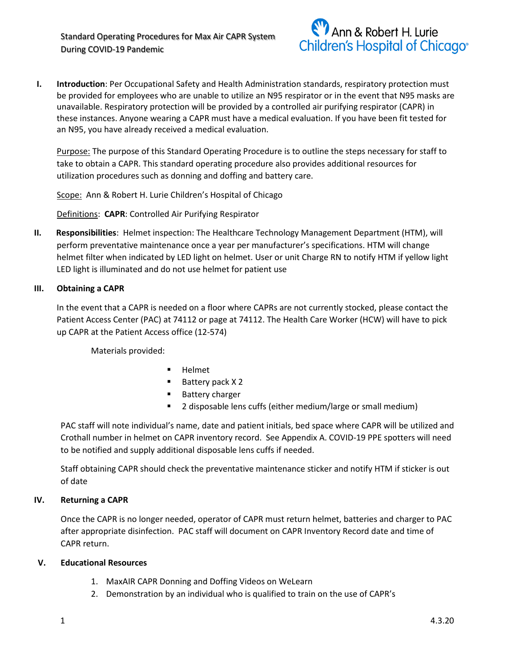

**I. Introduction**: Per Occupational Safety and Health Administration standards, respiratory protection must be provided for employees who are unable to utilize an N95 respirator or in the event that N95 masks are unavailable. Respiratory protection will be provided by a controlled air purifying respirator (CAPR) in these instances. Anyone wearing a CAPR must have a medical evaluation. If you have been fit tested for an N95, you have already received a medical evaluation.

Purpose: The purpose of this Standard Operating Procedure is to outline the steps necessary for staff to take to obtain a CAPR. This standard operating procedure also provides additional resources for utilization procedures such as donning and doffing and battery care.

Scope: Ann & Robert H. Lurie Children's Hospital of Chicago

Definitions: **CAPR**: Controlled Air Purifying Respirator

**II. Responsibilities**: Helmet inspection: The Healthcare Technology Management Department (HTM), will perform preventative maintenance once a year per manufacturer's specifications. HTM will change helmet filter when indicated by LED light on helmet. User or unit Charge RN to notify HTM if yellow light LED light is illuminated and do not use helmet for patient use

## **III. Obtaining a CAPR**

In the event that a CAPR is needed on a floor where CAPRs are not currently stocked, please contact the Patient Access Center (PAC) at 74112 or page at 74112. The Health Care Worker (HCW) will have to pick up CAPR at the Patient Access office (12-574)

Materials provided:

- **Helmet**
- Battery pack X 2
- **Battery charger**
- 2 disposable lens cuffs (either medium/large or small medium)

PAC staff will note individual's name, date and patient initials, bed space where CAPR will be utilized and Crothall number in helmet on CAPR inventory record. See Appendix A. COVID-19 PPE spotters will need to be notified and supply additional disposable lens cuffs if needed.

Staff obtaining CAPR should check the preventative maintenance sticker and notify HTM if sticker is out of date

## **IV. Returning a CAPR**

Once the CAPR is no longer needed, operator of CAPR must return helmet, batteries and charger to PAC after appropriate disinfection. PAC staff will document on CAPR Inventory Record date and time of CAPR return.

## **V. Educational Resources**

- 1. MaxAIR CAPR Donning and Doffing Videos on WeLearn
- 2. Demonstration by an individual who is qualified to train on the use of CAPR's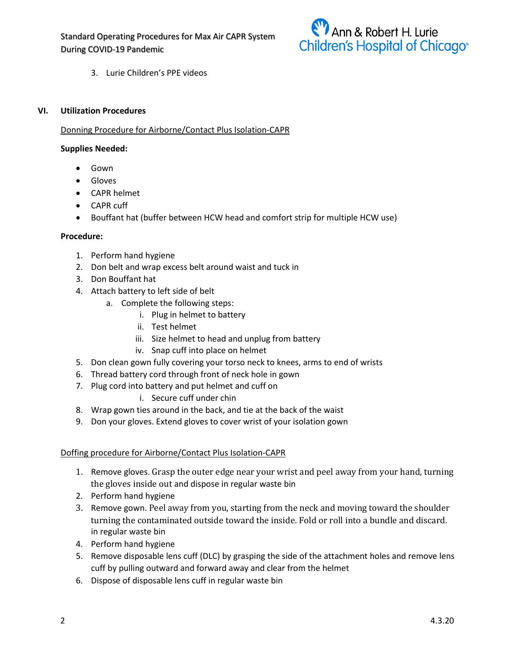

3. Lurie Children's PPE videos

## **VI. Utilization Procedures**

## Donning Procedure for Airborne/Contact Plus Isolation-CAPR

#### **Supplies Needed:**

- Gown
- Gloves
- CAPR helmet
- CAPR cuff
- Bouffant hat (buffer between HCW head and comfort strip for multiple HCW use)

#### **Procedure:**

- 1. Perform hand hygiene
- 2. Don belt and wrap excess belt around waist and tuck in
- 3. Don Bouffant hat
- 4. Attach battery to left side of belt
	- a. Complete the following steps:
		- i. Plug in helmet to battery
		- ii. Test helmet
		- iii. Size helmet to head and unplug from battery
		- iv. Snap cuff into place on helmet
- 5. Don clean gown fully covering your torso neck to knees, arms to end of wrists
- 6. Thread battery cord through front of neck hole in gown
- 7. Plug cord into battery and put helmet and cuff on
	- i. Secure cuff under chin
- 8. Wrap gown ties around in the back, and tie at the back of the waist
- 9. Don your gloves. Extend gloves to cover wrist of your isolation gown

## Doffing procedure for Airborne/Contact Plus Isolation-CAPR

- 1. Remove gloves. Grasp the outer edge near your wrist and peel away from your hand, turning the gloves inside out and dispose in regular waste bin
- 2. Perform hand hygiene
- 3. Remove gown. Peel away from you, starting from the neck and moving toward the shoulder turning the contaminated outside toward the inside. Fold or roll into a bundle and discard. in regular waste bin
- 4. Perform hand hygiene
- 5. Remove disposable lens cuff (DLC) by grasping the side of the attachment holes and remove lens cuff by pulling outward and forward away and clear from the helmet
- 6. Dispose of disposable lens cuff in regular waste bin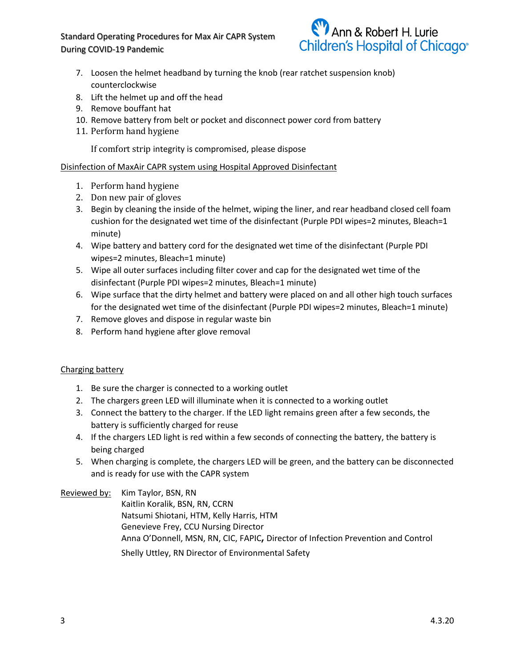Standard Operating Procedures for Max Air CAPR System During COVID-19 Pandemic



- 7. Loosen the helmet headband by turning the knob (rear ratchet suspension knob) counterclockwise
- 8. Lift the helmet up and off the head
- 9. Remove bouffant hat
- 10. Remove battery from belt or pocket and disconnect power cord from battery
- 11. Perform hand hygiene

If comfort strip integrity is compromised, please dispose

## Disinfection of MaxAir CAPR system using Hospital Approved Disinfectant

- 1. Perform hand hygiene
- 2. Don new pair of gloves
- 3. Begin by cleaning the inside of the helmet, wiping the liner, and rear headband closed cell foam cushion for the designated wet time of the disinfectant (Purple PDI wipes=2 minutes, Bleach=1 minute)
- 4. Wipe battery and battery cord for the designated wet time of the disinfectant (Purple PDI wipes=2 minutes, Bleach=1 minute)
- 5. Wipe all outer surfaces including filter cover and cap for the designated wet time of the disinfectant (Purple PDI wipes=2 minutes, Bleach=1 minute)
- 6. Wipe surface that the dirty helmet and battery were placed on and all other high touch surfaces for the designated wet time of the disinfectant (Purple PDI wipes=2 minutes, Bleach=1 minute)
- 7. Remove gloves and dispose in regular waste bin
- 8. Perform hand hygiene after glove removal

## Charging battery

- 1. Be sure the charger is connected to a working outlet
- 2. The chargers green LED will illuminate when it is connected to a working outlet
- 3. Connect the battery to the charger. If the LED light remains green after a few seconds, the battery is sufficiently charged for reuse
- 4. If the chargers LED light is red within a few seconds of connecting the battery, the battery is being charged
- 5. When charging is complete, the chargers LED will be green, and the battery can be disconnected and is ready for use with the CAPR system

Reviewed by: Kim Taylor, BSN, RN

Kaitlin Koralik, BSN, RN, CCRN Natsumi Shiotani, HTM, Kelly Harris, HTM Genevieve Frey, CCU Nursing Director Anna O'Donnell, MSN, RN, CIC, FAPIC**,** Director of Infection Prevention and Control Shelly Uttley, RN Director of Environmental Safety